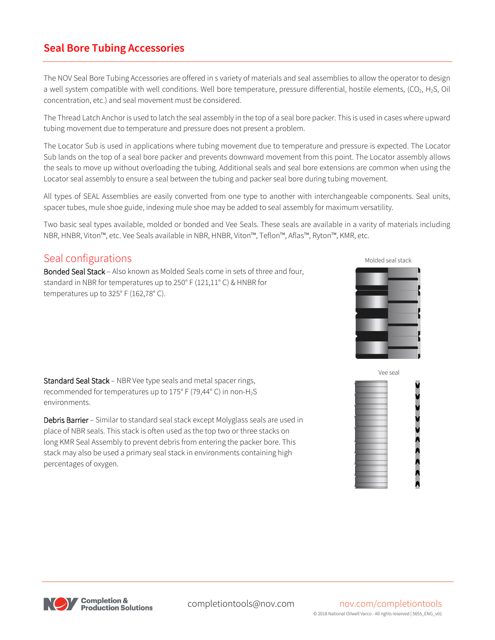# **Seal Bore Tubing Accessories**

The NOV Seal Bore Tubing Accessories are offered in s variety of materials and seal assemblies to allow the operator to design a well system compatible with well conditions. Well bore temperature, pressure differential, hostile elements,  $(CO_2, H_2S, Oil$ concentration, etc.) and seal movement must be considered.

The Thread Latch Anchor is used to latch the seal assembly in the top of a seal bore packer. This is used in cases where upward tubing movement due to temperature and pressure does not present a problem.

The Locator Sub is used in applications where tubing movement due to temperature and pressure is expected. The Locator Sub lands on the top of a seal bore packer and prevents downward movement from this point. The Locator assembly allows the seals to move up without overloading the tubing. Additional seals and seal bore extensions are common when using the Locator seal assembly to ensure a seal between the tubing and packer seal bore during tubing movement.

All types of SEAL Assemblies are easily converted from one type to another with interchangeable components. Seal units, spacer tubes, mule shoe guide, indexing mule shoe may be added to seal assembly for maximum versatility.

Two basic seal types available, molded or bonded and Vee Seals. These seals are available in a varity of materials including NBR, HNBR, Viton™, etc. Vee Seals available in NBR, HNBR, Viton™, Teflon™, Aflas™, Ryton™, KMR, etc.

## Seal configurations

Bonded Seal Stack – Also known as Molded Seals come in sets of three and four, standard in NBR for temperatures up to 250° F (121,11° C) & HNBR for temperatures up to 325° F (162,78° C).



Standard Seal Stack – NBR Vee type seals and metal spacer rings, recommended for temperatures up to 175° F (79,44° C) in non-H2S environments.

Debris Barrier – Similar to standard seal stack except Molyglass seals are used in place of NBR seals. This stack is often used as the top two or three stacks on long KMR Seal Assembly to prevent debris from entering the packer bore. This stack may also be used a primary seal stack in environments containing high percentages of oxygen.



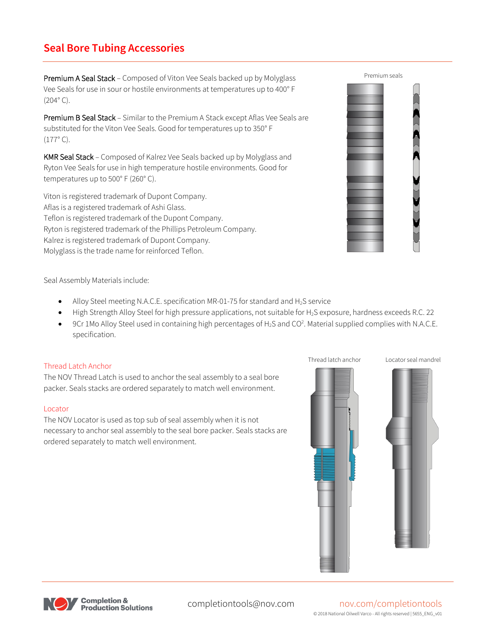# **Seal Bore Tubing Accessories**

Premium A Seal Stack – Composed of Viton Vee Seals backed up by Molyglass Vee Seals for use in sour or hostile environments at temperatures up to 400° F  $(204°C)$ .

Premium B Seal Stack - Similar to the Premium A Stack except Aflas Vee Seals are substituted for the Viton Vee Seals. Good for temperatures up to 350° F (177° C).

KMR Seal Stack – Composed of Kalrez Vee Seals backed up by Molyglass and Ryton Vee Seals for use in high temperature hostile environments. Good for temperatures up to 500° F (260° C).

Viton is registered trademark of Dupont Company. Aflas is a registered trademark of Ashi Glass. Teflon is registered trademark of the Dupont Company. Ryton is registered trademark of the Phillips Petroleum Company. Kalrez is registered trademark of Dupont Company. Molyglass is the trade name for reinforced Teflon.



Seal Assembly Materials include:

- Alloy Steel meeting N.A.C.E. specification MR-01-75 for standard and  $H_2$ S service
- High Strength Alloy Steel for high pressure applications, not suitable for H<sub>2</sub>S exposure, hardness exceeds R.C. 22
- 9Cr 1Mo Alloy Steel used in containing high percentages of H<sub>2</sub>S and CO<sup>2</sup>. Material supplied complies with N.A.C.E. specification.

## Thread Latch Anchor

The NOV Thread Latch is used to anchor the seal assembly to a seal bore packer. Seals stacks are ordered separately to match well environment.

### Locator

The NOV Locator is used as top sub of seal assembly when it is not necessary to anchor seal assembly to the seal bore packer. Seals stacks are ordered separately to match well environment.





# completiontools@nov.com nov.com/completiontools

© 2018 National Oilwell Varco - All rights reserved | 5655\_ENG\_v01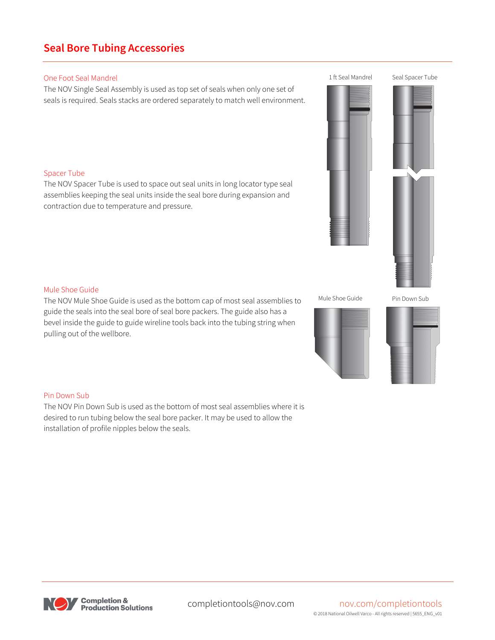Pin Down Sub

The NOV Pin Down Sub is used as the bottom of most seal assemblies where it is desired to run tubing below the seal bore packer. It may be used to allow the installation of profile nipples below the seals.

# Mule Shoe Guide

The NOV Mule Shoe Guide is used as the bottom cap of most seal assemblies to guide the seals into the seal bore of seal bore packers. The guide also has a bevel inside the guide to guide wireline tools back into the tubing string when pulling out of the wellbore.

**Seal Bore Tubing Accessories**

One Foot Seal Mandrel

The NOV Single Seal Assembly is used as top set of seals when only one set of seals is required. Seals stacks are ordered separately to match well environment.

## Spacer Tube

The NOV Spacer Tube is used to space out seal units in long locator type seal assemblies keeping the seal units inside the seal bore during expansion and contraction due to temperature and pressure.



Mule Shoe Guide

Pin Down Sub





1 ft Seal Mandrel